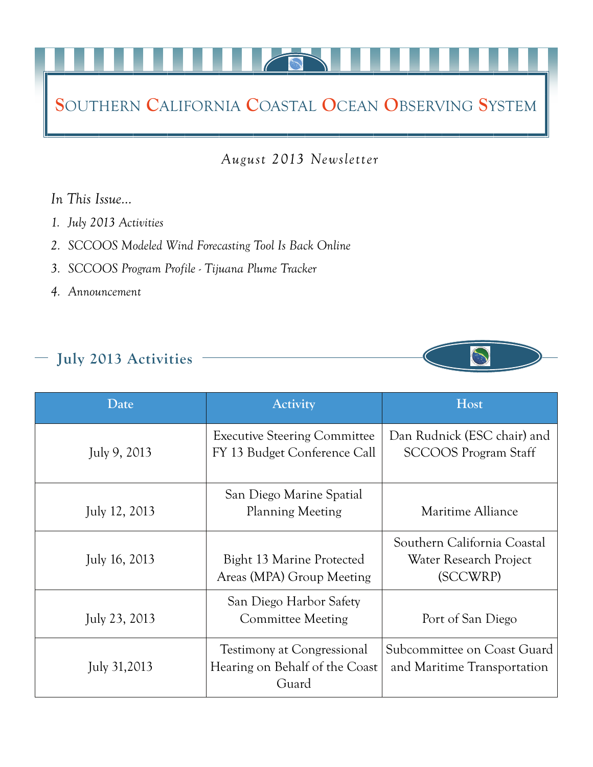# **S**OUTHERN **C**ALIFORNIA **C**OASTAL **O**CEAN **O**BSERVING **S**YSTEM

*August 2013 Newsletter* 

#### *In This Issue…*

- *1. July 2013 Activities*
- *2. SCCOOS Modeled Wind Forecasting Tool Is Back Online*
- *3. SCCOOS Program Profile Tijuana Plume Tracker*
- *4. Announcement*

## **July 2013 Activities**



| Date          | <b>Activity</b>                                                              | Host                                                              |  |
|---------------|------------------------------------------------------------------------------|-------------------------------------------------------------------|--|
| July 9, 2013  | <b>Executive Steering Committee</b><br>FY 13 Budget Conference Call          | Dan Rudnick (ESC chair) and<br><b>SCCOOS</b> Program Staff        |  |
| July 12, 2013 | San Diego Marine Spatial<br><b>Planning Meeting</b>                          | Maritime Alliance                                                 |  |
| July 16, 2013 | Bight 13 Marine Protected<br>Areas (MPA) Group Meeting                       | Southern California Coastal<br>Water Research Project<br>(SCCWRP) |  |
| July 23, 2013 | San Diego Harbor Safety<br><b>Committee Meeting</b>                          | Port of San Diego                                                 |  |
| July 31,2013  | <b>Testimony at Congressional</b><br>Hearing on Behalf of the Coast<br>Guard | Subcommittee on Coast Guard<br>and Maritime Transportation        |  |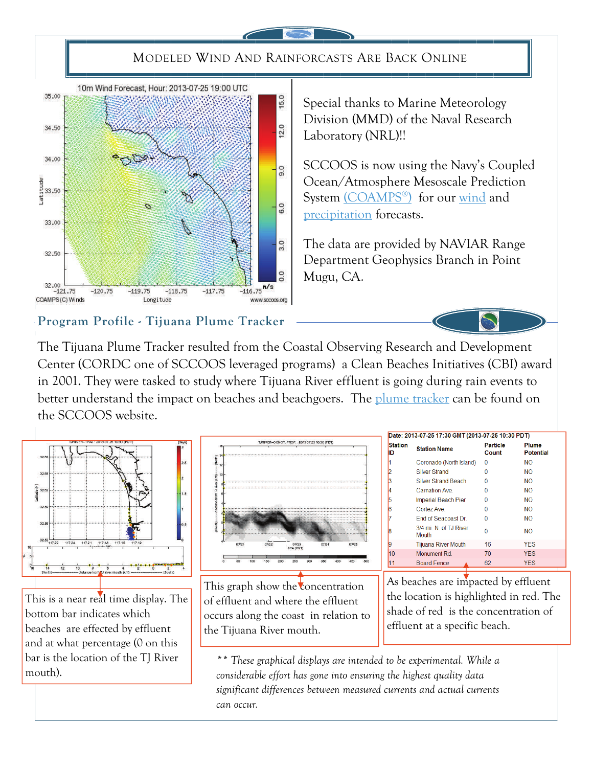### MODELED WIND AND RAINFORCASTS ARE BACK ONLINE



Special thanks to Marine Meteorology Division (MMD) of the Naval Research Laboratory (NRL)!!

SCCOOS is now using the Navy's Coupled Ocean/Atmosphere Mesoscale Prediction System [\(COAMPS®\)](http://www.nrlmry.navy.mil/coamps-web/web/home) for our [wind](http://www.sccoos.org/data/winds/) and [precipitation](http://www.sccoos.org/data/winds/precip.php?r=0) forecasts.

The data are provided by NAVIAR Range Department Geophysics Branch in Point Mugu, CA.

#### **Program Profile - Tijuana Plume Tracker**

The Tijuana Plume Tracker resulted from the Coastal Observing Research and Development Center (CORDC one of SCCOOS leveraged programs) a Clean Beaches Initiatives (CBI) award in 2001. They were tasked to study where Tijuana River effluent is going during rain events to better understand the impact on beaches and beachgoers. The [plume tracker](http://sccoos.org/data/tracking/IB/) can be found on the SCCOOS website.



This is a near real time display. The bottom bar indicates which beaches are effected by effluent and at what percentage (0 on this bar is the location of the TJ River mouth).



This graph show the concentration of effluent and where the effluent occurs along the coast in relation to the Tijuana River mouth.

| Date: 2013-07-25 17:30 GMT (2013-07-25 10:30 PDT) |                               |                          |                                  |  |  |
|---------------------------------------------------|-------------------------------|--------------------------|----------------------------------|--|--|
| <b>Station</b><br>ID                              | <b>Station Name</b>           | <b>Particle</b><br>Count | <b>Plume</b><br><b>Potential</b> |  |  |
| M                                                 | Coronado (North Island)       | 0                        | <b>NO</b>                        |  |  |
| 2                                                 | Silver Strand                 | n                        | <b>NO</b>                        |  |  |
| 3                                                 | <b>Silver Strand Beach</b>    | n                        | <b>NO</b>                        |  |  |
| 4                                                 | Carnation Ave.                | o                        | <b>NO</b>                        |  |  |
| 5                                                 | Imperial Beach Pier           | O                        | <b>NO</b>                        |  |  |
| 16                                                | Cortez Ave                    | n                        | <b>NO</b>                        |  |  |
| 17                                                | <b>End of Seacoast Dr</b>     | U                        | <b>NO</b>                        |  |  |
| 18                                                | 3/4 mi N of TJ River<br>Mouth | n                        | <b>NO</b>                        |  |  |
| l9                                                | <b>Tijuana River Mouth</b>    | 16                       | <b>YES</b>                       |  |  |
| 10                                                | Monument Rd                   | 70                       | <b>YES</b>                       |  |  |
| 11                                                | <b>Board Fence</b>            | 62                       | <b>YES</b>                       |  |  |
|                                                   |                               |                          |                                  |  |  |

As beaches are impacted by effluent the location is highlighted in red. The shade of red is the concentration of effluent at a specific beach.

*\*\* These graphical displays are intended to be experimental. While a considerable effort has gone into ensuring the highest quality data significant differences between measured currents and actual currents can occur.*